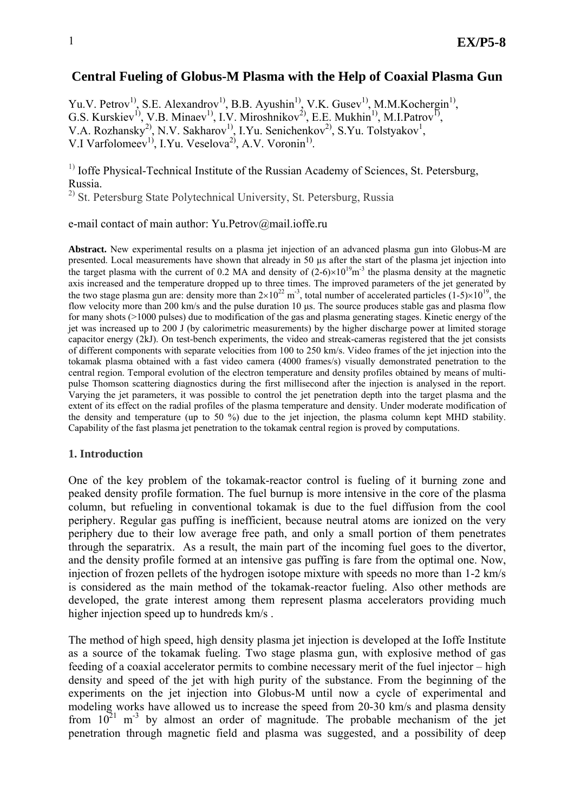# **Central Fueling of Globus-M Plasma with the Help of Coaxial Plasma Gun**

Yu.V. Petrov<sup>1)</sup>, S.E. Alexandrov<sup>1)</sup>, B.B. Ayushin<sup>1)</sup>, V.K. Gusev<sup>1)</sup>, M.M.Kochergin<sup>1)</sup>, G.S. Kurskiev<sup>1)</sup>, V.B. Minaev<sup>1)</sup>, I.V. Miroshnikov<sup>2)</sup>, E.E. Mukhin<sup>1)</sup>, M.I.Patrov<sup>1)</sup>, V.A. Rozhansky<sup>2)</sup>, N.V. Sakharov<sup>1)</sup>, I.Yu. Senichenkov<sup>2)</sup>, S.Yu. Tolstyakov<sup>1</sup>, V.I Varfolomeev<sup>1)</sup>, I.Yu. Veselova<sup>2)</sup>, A.V. Voronin<sup>1)</sup>.

 $<sup>1)</sup>$  Ioffe Physical-Technical Institute of the Russian Academy of Sciences, St. Petersburg,</sup> Russia.

<sup>2)</sup> St. Petersburg State Polytechnical University, St. Petersburg, Russia

e-mail contact of main author: Yu.Petrov@mail.ioffe.ru

**Abstract.** New experimental results on a plasma jet injection of an advanced plasma gun into Globus-M are presented. Local measurements have shown that already in 50 µs after the start of the plasma jet injection into the target plasma with the current of 0.2 MA and density of  $(2-6)\times10^{19}$ m<sup>-3</sup> the plasma density at the magnetic axis increased and the temperature dropped up to three times. The improved parameters of the jet generated by the two stage plasma gun are: density more than  $2\times10^{22}$  m<sup>-3</sup>, total number of accelerated particles (1-5) $\times10^{19}$ , the flow velocity more than 200 km/s and the pulse duration 10 us. The source produces stable gas and plasma flow for many shots (>1000 pulses) due to modification of the gas and plasma generating stages. Kinetic energy of the jet was increased up to 200 J (by calorimetric measurements) by the higher discharge power at limited storage capacitor energy (2kJ). On test-bench experiments, the video and streak-cameras registered that the jet consists of different components with separate velocities from 100 to 250 km/s. Video frames of the jet injection into the tokamak plasma obtained with a fast video camera (4000 frames/s) visually demonstrated penetration to the central region. Temporal evolution of the electron temperature and density profiles obtained by means of multipulse Thomson scattering diagnostics during the first millisecond after the injection is analysed in the report. Varying the jet parameters, it was possible to control the jet penetration depth into the target plasma and the extent of its effect on the radial profiles of the plasma temperature and density. Under moderate modification of the density and temperature (up to 50 %) due to the jet injection, the plasma column kept MHD stability. Capability of the fast plasma jet penetration to the tokamak central region is proved by computations.

#### **1. Introduction**

One of the key problem of the tokamak-reactor control is fueling of it burning zone and peaked density profile formation. The fuel burnup is more intensive in the core of the plasma column, but refueling in conventional tokamak is due to the fuel diffusion from the cool periphery. Regular gas puffing is inefficient, because neutral atoms are ionized on the very periphery due to their low average free path, and only a small portion of them penetrates through the separatrix. As a result, the main part of the incoming fuel goes to the divertor, and the density profile formed at an intensive gas puffing is fare from the optimal one. Now, injection of frozen pellets of the hydrogen isotope mixture with speeds no more than 1-2 km/s is considered as the main method of the tokamak-reactor fueling. Also other methods are developed, the grate interest among them represent plasma accelerators providing much higher injection speed up to hundreds km/s .

The method of high speed, high density plasma jet injection is developed at the Ioffe Institute as a source of the tokamak fueling. Two stage plasma gun, with explosive method of gas feeding of a coaxial accelerator permits to combine necessary merit of the fuel injector – high density and speed of the jet with high purity of the substance. From the beginning of the experiments on the jet injection into Globus-M until now a cycle of experimental and modeling works have allowed us to increase the speed from 20-30 km/s and plasma density from  $10^{21}$  m<sup>-3</sup> by almost an order of magnitude. The probable mechanism of the jet penetration through magnetic field and plasma was suggested, and a possibility of deep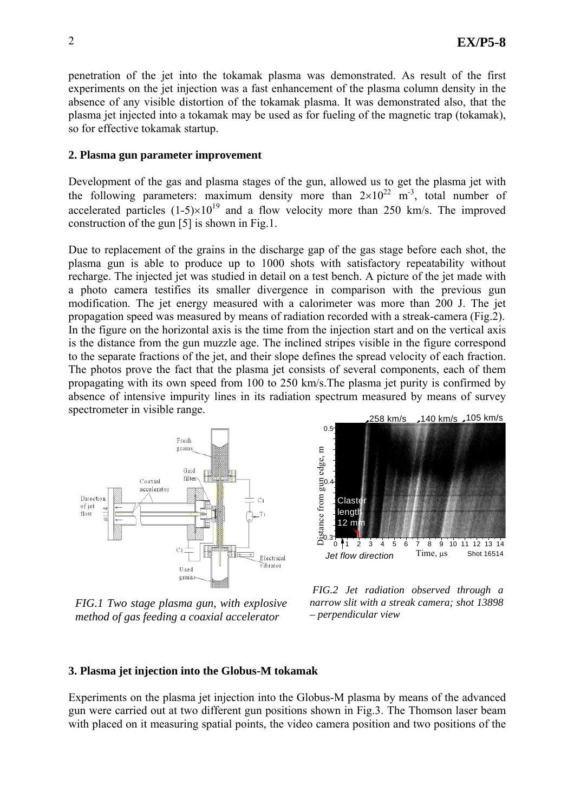penetration of the jet into the tokamak plasma was demonstrated. As result of the first experiments on the jet injection was a fast enhancement of the plasma column density in the absence of any visible distortion of the tokamak plasma. It was demonstrated also, that the plasma jet injected into a tokamak may be used as for fueling of the magnetic trap (tokamak), so for effective tokamak startup.

### **2. Plasma gun parameter improvement**

Development of the gas and plasma stages of the gun, allowed us to get the plasma jet with the following parameters: maximum density more than  $2\times10^{22}$  m<sup>-3</sup>, total number of accelerated particles  $(1-5)\times10^{19}$  and a flow velocity more than 250 km/s. The improved construction of the gun [5] is shown in Fig.1.

Due to replacement of the grains in the discharge gap of the gas stage before each shot, the plasma gun is able to produce up to 1000 shots with satisfactory repeatability without recharge. The injected jet was studied in detail on a test bench. A picture of the jet made with a photo camera testifies its smaller divergence in comparison with the previous gun modification. The jet energy measured with a calorimeter was more than 200 J. The jet propagation speed was measured by means of radiation recorded with a streak-camera (Fig.2). In the figure on the horizontal axis is the time from the injection start and on the vertical axis is the distance from the gun muzzle age. The inclined stripes visible in the figure correspond to the separate fractions of the jet, and their slope defines the spread velocity of each fraction. The photos prove the fact that the plasma jet consists of several components, each of them propagating with its own speed from 100 to 250 km/s.The plasma jet purity is confirmed by absence of intensive impurity lines in its radiation spectrum measured by means of survey spectrometer in visible range.



*FIG.1 Two stage plasma gun, with explosive method of gas feeding a coaxial accelerator* 



 *FIG.2 Jet radiation observed through a narrow slit with a streak camera; shot 13898 – perpendicular view*

#### **3. Plasma jet injection into the Globus-M tokamak**

Experiments on the plasma jet injection into the Globus-M plasma by means of the advanced gun were carried out at two different gun positions shown in Fig.3. The Thomson laser beam with placed on it measuring spatial points, the video camera position and two positions of the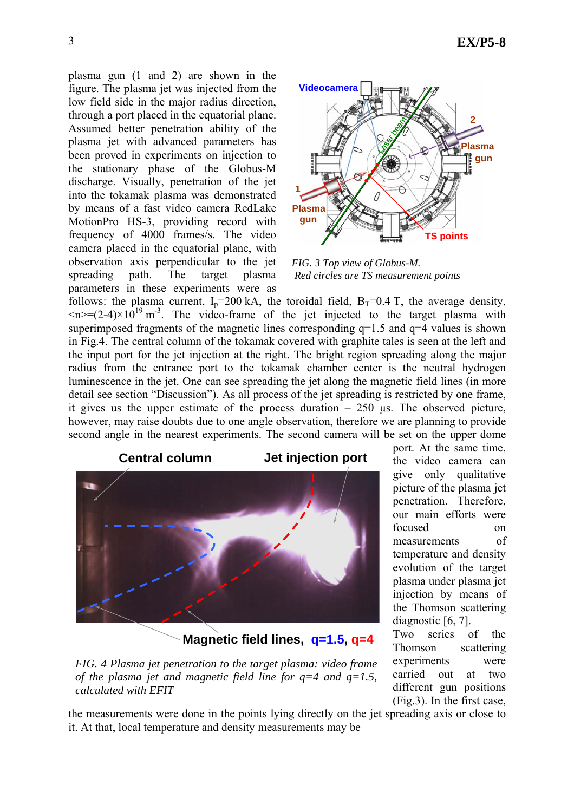plasma gun (1 and 2) are shown in the figure. The plasma jet was injected from the low field side in the major radius direction, through a port placed in the equatorial plane. Assumed better penetration ability of the plasma jet with advanced parameters has been proved in experiments on injection to the stationary phase of the Globus-M discharge. Visually, penetration of the jet into the tokamak plasma was demonstrated by means of a fast video camera RedLake MotionPro HS-3, providing record with frequency of 4000 frames/s. The video camera placed in the equatorial plane, with observation axis perpendicular to the jet spreading path. The target plasma parameters in these experiments were as



*FIG. 3 Top view of Globus-M. Red circles are TS measurement points* 

follows: the plasma current,  $I_p=200 \text{ kA}$ , the toroidal field,  $B_T=0.4 \text{ T}$ , the average density,  $\langle n \rangle = (2-4) \times 10^{19}$  m<sup>-3</sup>. The video-frame of the jet injected to the target plasma with superimposed fragments of the magnetic lines corresponding  $q=1.5$  and  $q=4$  values is shown in Fig.4. The central column of the tokamak covered with graphite tales is seen at the left and the input port for the jet injection at the right. The bright region spreading along the major radius from the entrance port to the tokamak chamber center is the neutral hydrogen luminescence in the jet. One can see spreading the jet along the magnetic field lines (in more detail see section "Discussion"). As all process of the jet spreading is restricted by one frame, it gives us the upper estimate of the process duration  $-250$  us. The observed picture, however, may raise doubts due to one angle observation, therefore we are planning to provide second angle in the nearest experiments. The second camera will be set on the upper dome



**Magnetic field lines, q=1.5, q=4**

*FIG. 4 Plasma jet penetration to the target plasma: video frame of the plasma jet and magnetic field line for q=4 and q=1.5, calculated with EFIT* 

port. At the same time, the video camera can give only qualitative picture of the plasma jet penetration. Therefore, our main efforts were focused on measurements of temperature and density evolution of the target plasma under plasma jet injection by means of the Thomson scattering diagnostic [6, 7].

Two series of the Thomson scattering experiments were carried out at two different gun positions (Fig.3). In the first case,

the measurements were done in the points lying directly on the jet spreading axis or close to it. At that, local temperature and density measurements may be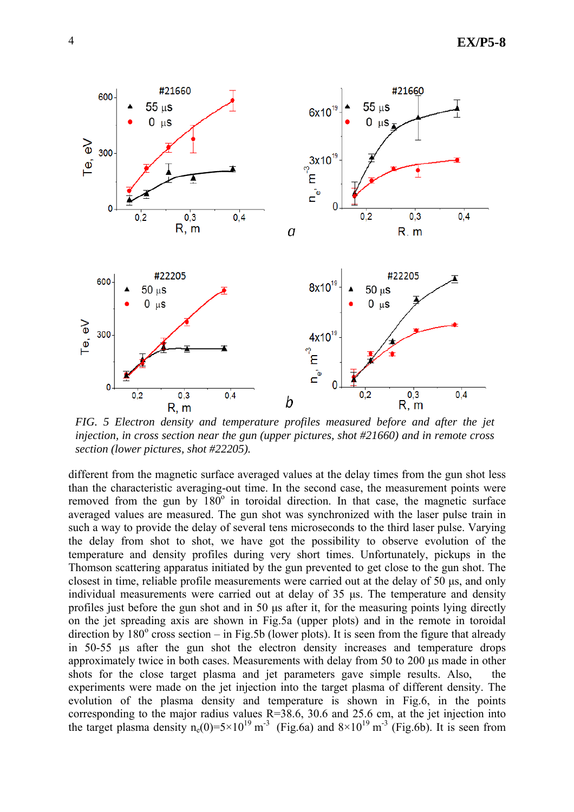

*FIG. 5 Electron density and temperature profiles measured before and after the jet injection, in cross section near the gun (upper pictures, shot #21660) and in remote cross section (lower pictures, shot #22205).* 

different from the magnetic surface averaged values at the delay times from the gun shot less than the characteristic averaging-out time. In the second case, the measurement points were removed from the gun by  $180^\circ$  in toroidal direction. In that case, the magnetic surface averaged values are measured. The gun shot was synchronized with the laser pulse train in such a way to provide the delay of several tens microseconds to the third laser pulse. Varying the delay from shot to shot, we have got the possibility to observe evolution of the temperature and density profiles during very short times. Unfortunately, pickups in the Thomson scattering apparatus initiated by the gun prevented to get close to the gun shot. The closest in time, reliable profile measurements were carried out at the delay of 50 µs, and only individual measurements were carried out at delay of 35 µs. The temperature and density profiles just before the gun shot and in 50 us after it, for the measuring points lying directly on the jet spreading axis are shown in Fig.5a (upper plots) and in the remote in toroidal direction by  $180^\circ$  cross section – in Fig.5b (lower plots). It is seen from the figure that already in 50-55 µs after the gun shot the electron density increases and temperature drops approximately twice in both cases. Measurements with delay from 50 to 200 us made in other shots for the close target plasma and jet parameters gave simple results. Also, the experiments were made on the jet injection into the target plasma of different density. The evolution of the plasma density and temperature is shown in Fig.6, in the points corresponding to the major radius values  $R=38.6$ , 30.6 and 25.6 cm, at the jet injection into the target plasma density n<sub>e</sub>(0)=5×10<sup>19</sup> m<sup>-3</sup> (Fig.6a) and  $8\times10^{19}$  m<sup>-3</sup> (Fig.6b). It is seen from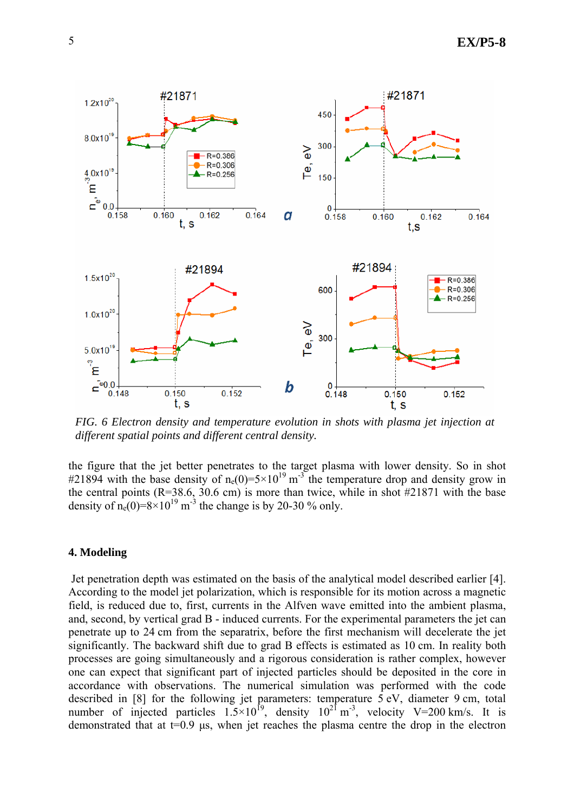

*FIG. 6 Electron density and temperature evolution in shots with plasma jet injection at different spatial points and different central density.* 

the figure that the jet better penetrates to the target plasma with lower density. So in shot #21894 with the base density of  $n_e(0)=5\times10^{19} \text{ m}^3$  the temperature drop and density grow in the central points  $(R=38.6, 30.6 \text{ cm})$  is more than twice, while in shot  $\#21871$  with the base density of  $n_e(0)=8\times10^{19}$  m<sup>-3</sup> the change is by 20-30 % only.

#### **4. Modeling**

Jet penetration depth was estimated on the basis of the analytical model described earlier [4]. According to the model jet polarization, which is responsible for its motion across a magnetic field, is reduced due to, first, currents in the Alfven wave emitted into the ambient plasma, and, second, by vertical grad B - induced currents. For the experimental parameters the jet can penetrate up to 24 cm from the separatrix, before the first mechanism will decelerate the jet significantly. The backward shift due to grad B effects is estimated as 10 cm. In reality both processes are going simultaneously and a rigorous consideration is rather complex, however one can expect that significant part of injected particles should be deposited in the core in accordance with observations. The numerical simulation was performed with the code described in [8] for the following jet parameters: temperature 5 eV, diameter 9 cm, total number of injected particles  $1.5 \times 10^{19}$ , density  $10^{21}$  m<sup>-3</sup>, velocity V=200 km/s. It is demonstrated that at  $t=0.9$  µs, when jet reaches the plasma centre the drop in the electron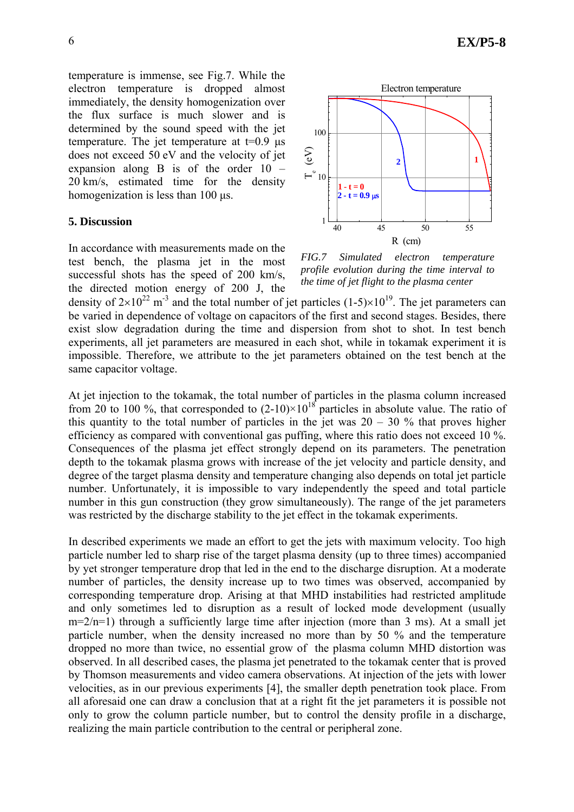temperature is immense, see Fig.7. While the electron temperature is dropped almost immediately, the density homogenization over the flux surface is much slower and is determined by the sound speed with the jet temperature. The jet temperature at  $t=0.9$   $\mu s$ does not exceed 50 eV and the velocity of jet expansion along B is of the order 10 – 20 km/s, estimated time for the density homogenization is less than 100  $\mu$ s.

### **5. Discussion**

In accordance with measurements made on the test bench, the plasma jet in the most successful shots has the speed of 200 km/s, the directed motion energy of 200 J, the



*FIG.7 Simulated electron temperature profile evolution during the time interval to the time of jet flight to the plasma center* 

density of  $2\times10^{22}$  m<sup>-3</sup> and the total number of jet particles (1-5) $\times10^{19}$ . The jet parameters can be varied in dependence of voltage on capacitors of the first and second stages. Besides, there exist slow degradation during the time and dispersion from shot to shot. In test bench experiments, all jet parameters are measured in each shot, while in tokamak experiment it is impossible. Therefore, we attribute to the jet parameters obtained on the test bench at the same capacitor voltage.

At jet injection to the tokamak, the total number of particles in the plasma column increased from 20 to 100 %, that corresponded to  $(2-10)\times10^{18}$  particles in absolute value. The ratio of this quantity to the total number of particles in the jet was  $20 - 30$  % that proves higher efficiency as compared with conventional gas puffing, where this ratio does not exceed 10 %. Consequences of the plasma jet effect strongly depend on its parameters. The penetration depth to the tokamak plasma grows with increase of the jet velocity and particle density, and degree of the target plasma density and temperature changing also depends on total jet particle number. Unfortunately, it is impossible to vary independently the speed and total particle number in this gun construction (they grow simultaneously). The range of the jet parameters was restricted by the discharge stability to the jet effect in the tokamak experiments.

In described experiments we made an effort to get the jets with maximum velocity. Too high particle number led to sharp rise of the target plasma density (up to three times) accompanied by yet stronger temperature drop that led in the end to the discharge disruption. At a moderate number of particles, the density increase up to two times was observed, accompanied by corresponding temperature drop. Arising at that MHD instabilities had restricted amplitude and only sometimes led to disruption as a result of locked mode development (usually  $m=2/n=1$ ) through a sufficiently large time after injection (more than 3 ms). At a small jet particle number, when the density increased no more than by 50 % and the temperature dropped no more than twice, no essential grow of the plasma column MHD distortion was observed. In all described cases, the plasma jet penetrated to the tokamak center that is proved by Thomson measurements and video camera observations. At injection of the jets with lower velocities, as in our previous experiments [4], the smaller depth penetration took place. From all aforesaid one can draw a conclusion that at a right fit the jet parameters it is possible not only to grow the column particle number, but to control the density profile in a discharge, realizing the main particle contribution to the central or peripheral zone.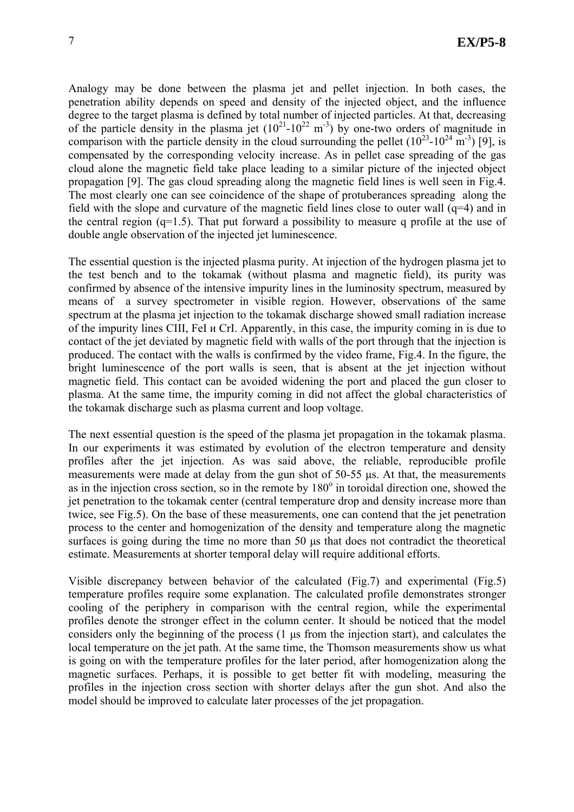Analogy may be done between the plasma jet and pellet injection. In both cases, the penetration ability depends on speed and density of the injected object, and the influence degree to the target plasma is defined by total number of injected particles. At that, decreasing of the particle density in the plasma jet  $(10^{21} - 10^{22} \text{ m}^3)$  by one-two orders of magnitude in comparison with the particle density in the cloud surrounding the pellet  $(10^{23} - 10^{24} \text{ m}^3)$  [9], is compensated by the corresponding velocity increase. As in pellet case spreading of the gas cloud alone the magnetic field take place leading to a similar picture of the injected object propagation [9]. The gas cloud spreading along the magnetic field lines is well seen in Fig.4. The most clearly one can see coincidence of the shape of protuberances spreading along the field with the slope and curvature of the magnetic field lines close to outer wall  $(q=4)$  and in the central region (q=1.5). That put forward a possibility to measure q profile at the use of double angle observation of the injected jet luminescence.

The essential question is the injected plasma purity. At injection of the hydrogen plasma jet to the test bench and to the tokamak (without plasma and magnetic field), its purity was confirmed by absence of the intensive impurity lines in the luminosity spectrum, measured by means of a survey spectrometer in visible region. However, observations of the same spectrum at the plasma jet injection to the tokamak discharge showed small radiation increase of the impurity lines CIII, FeI и CrI. Apparently, in this case, the impurity coming in is due to contact of the jet deviated by magnetic field with walls of the port through that the injection is produced. The contact with the walls is confirmed by the video frame, Fig.4. In the figure, the bright luminescence of the port walls is seen, that is absent at the jet injection without magnetic field. This contact can be avoided widening the port and placed the gun closer to plasma. At the same time, the impurity coming in did not affect the global characteristics of the tokamak discharge such as plasma current and loop voltage.

The next essential question is the speed of the plasma jet propagation in the tokamak plasma. In our experiments it was estimated by evolution of the electron temperature and density profiles after the jet injection. As was said above, the reliable, reproducible profile measurements were made at delay from the gun shot of 50-55 µs. At that, the measurements as in the injection cross section, so in the remote by  $180^\circ$  in toroidal direction one, showed the jet penetration to the tokamak center (central temperature drop and density increase more than twice, see Fig.5). On the base of these measurements, one can contend that the jet penetration process to the center and homogenization of the density and temperature along the magnetic surfaces is going during the time no more than 50  $\mu$ s that does not contradict the theoretical estimate. Measurements at shorter temporal delay will require additional efforts.

Visible discrepancy between behavior of the calculated (Fig.7) and experimental (Fig.5) temperature profiles require some explanation. The calculated profile demonstrates stronger cooling of the periphery in comparison with the central region, while the experimental profiles denote the stronger effect in the column center. It should be noticed that the model considers only the beginning of the process (1 µs from the injection start), and calculates the local temperature on the jet path. At the same time, the Thomson measurements show us what is going on with the temperature profiles for the later period, after homogenization along the magnetic surfaces. Perhaps, it is possible to get better fit with modeling, measuring the profiles in the injection cross section with shorter delays after the gun shot. And also the model should be improved to calculate later processes of the jet propagation.